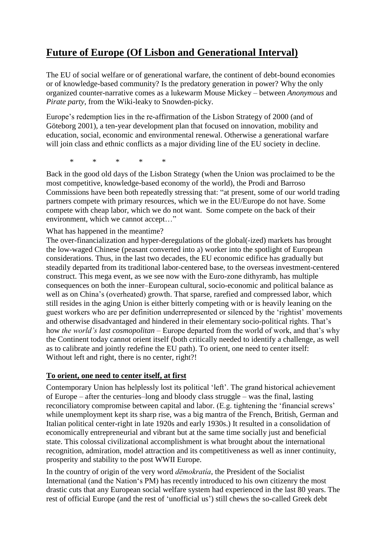# **Future of Europe (Of Lisbon and Generational Interval)**

The EU of social welfare or of generational warfare, the continent of debt-bound economies or of knowledge-based community? Is the predatory generation in power? Why the only organized counter-narrative comes as a lukewarm Mouse Mickey – between *Anonymous* and *Pirate party*, from the Wiki-leaky to Snowden-picky.

Europe"s redemption lies in the re-affirmation of the Lisbon Strategy of 2000 (and of Göteborg 2001), a ten-year development plan that focused on innovation, mobility and education, social, economic and environmental renewal. Otherwise a generational warfare will join class and ethnic conflicts as a major dividing line of the EU society in decline.

\* \* \* \* \*

Back in the good old days of the Lisbon Strategy (when the Union was proclaimed to be the most competitive, knowledge-based economy of the world), the Prodi and Barroso Commissions have been both repeatedly stressing that: "at present, some of our world trading partners compete with primary resources, which we in the EU/Europe do not have. Some compete with cheap labor, which we do not want. Some compete on the back of their environment, which we cannot accept…"

What has happened in the meantime?

The over-financialization and hyper-deregulations of the global(-ized) markets has brought the low-waged Chinese (peasant converted into a) worker into the spotlight of European considerations. Thus, in the last two decades, the EU economic edifice has gradually but steadily departed from its traditional labor-centered base, to the overseas investment-centered construct. This mega event, as we see now with the Euro-zone dithyramb, has multiple consequences on both the inner–European cultural, socio-economic and political balance as well as on China"s (overheated) growth. That sparse, rarefied and compressed labor, which still resides in the aging Union is either bitterly competing with or is heavily leaning on the guest workers who are per definition underrepresented or silenced by the "rightist" movements and otherwise disadvantaged and hindered in their elementary socio-political rights. That"s how *the world's last cosmopolitan* – Europe departed from the world of work, and that"s why the Continent today cannot orient itself (both critically needed to identify a challenge, as well as to calibrate and jointly redefine the EU path). To orient, one need to center itself: Without left and right, there is no center, right?!

### **To orient, one need to center itself, at first**

Contemporary Union has helplessly lost its political "left". The grand historical achievement of Europe – after the centuries–long and bloody class struggle – was the final, lasting reconciliatory compromise between capital and labor. (E.g. tightening the 'financial screws' while unemployment kept its sharp rise, was a big mantra of the French, British, German and Italian political center-right in late 1920s and early 1930s.) It resulted in a consolidation of economically entrepreneurial and vibrant but at the same time socially just and beneficial state. This colossal civilizational accomplishment is what brought about the international recognition, admiration, model attraction and its competitiveness as well as inner continuity, prosperity and stability to the post WWII Europe.

In the country of origin of the very word *dēmokratía*, the President of the Socialist International (and the Nation"s PM) has recently introduced to his own citizenry the most drastic cuts that any European social welfare system had experienced in the last 80 years. The rest of official Europe (and the rest of 'unofficial us') still chews the so-called Greek debt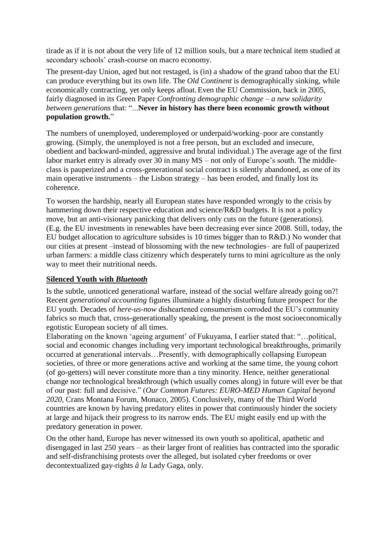tirade as if it is not about the very life of 12 million souls, but a mare technical item studied at secondary schools' crash-course on macro economy.

The present-day Union, aged but not restaged, is (in) a shadow of the grand taboo that the EU can produce everything but its own life. The *Old Continent* is demographically sinking, while economically contracting, yet only keeps afloat.Even the EU Commission, back in 2005, fairly diagnosed in its Green Paper *Confronting demographic change – a new solidarity between generations* that: "...**Never in history has there been economic growth without population growth.**"

The numbers of unemployed, underemployed or underpaid/working–poor are constantly growing. (Simply, the unemployed is not a free person, but an excluded and insecure, obedient and backward-minded, aggressive and brutal individual.) The average age of the first labor market entry is already over 30 in many MS – not only of Europe's south. The middleclass is pauperized and a cross-generational social contract is silently abandoned, as one of its main operative instruments – the Lisbon strategy – has been eroded, and finally lost its coherence.

To worsen the hardship, nearly all European states have responded wrongly to the crisis by hammering down their respective education and science/R&D budgets. It is not a policy move, but an anti-visionary panicking that delivers only cuts on the future (generations). (E.g. the EU investments in renewables have been decreasing ever since 2008. Still, today, the EU budget allocation to agriculture subsides is 10 times bigger than to R&D.) No wonder that our cities at present –instead of blossoming with the new technologies– are full of pauperized urban farmers: a middle class citizenry which desperately turns to mini agriculture as the only way to meet their nutritional needs.

### **Silenced Youth with** *Bluetooth*

Is the subtle, unnoticed generational warfare, instead of the social welfare already going on?! Recent *generational accounting* figures illuminate a highly disturbing future prospect for the EU youth. Decades of *here-us-now* disheartened consumerism corroded the EU"s community fabrics so much that, cross-generationally speaking, the present is the most socioeconomically egotistic European society of all times.

Elaborating on the known "ageing argument" of Fukuyama, I earlier stated that: "…political, social and economic changes including very important technological breakthroughs, primarily occurred at generational intervals…Presently, with demographically collapsing European societies, of three or more generations active and working at the same time, the young cohort (of go-getters) will never constitute more than a tiny minority. Hence, neither generational change nor technological breakthrough (which usually comes along) in future will ever be that of our past: full and decisive." (*Our Common Futures: EURO-MED Human Capital beyond 2020*, Crans Montana Forum, Monaco, 2005). Conclusively, many of the Third World countries are known by having predatory elites in power that continuously hinder the society at large and hijack their progress to its narrow ends. The EU might easily end up with the predatory generation in power.

On the other hand, Europe has never witnessed its own youth so apolitical, apathetic and disengaged in last 250 years – as their larger front of realities has contracted into the sporadic and self-disfranchising protests over the alleged, but isolated cyber freedoms or over decontextualized gay-rights *â la* Lady Gaga, only.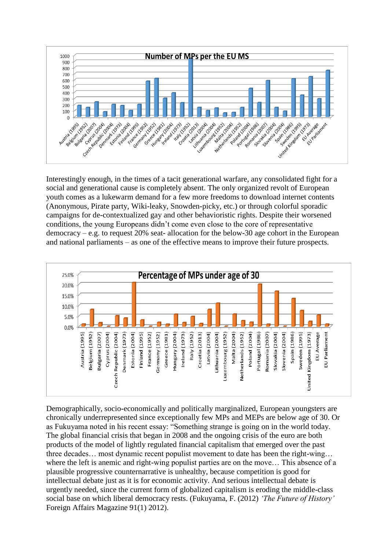

Interestingly enough, in the times of a tacit generational warfare, any consolidated fight for a social and generational cause is completely absent. The only organized revolt of European youth comes as a lukewarm demand for a few more freedoms to download internet contents (Anonymous, Pirate party, Wiki-leaky, Snowden-picky, etc.) or through colorful sporadic campaigns for de-contextualized gay and other behavioristic rights. Despite their worsened conditions, the young Europeans didn"t come even close to the core of representative democracy – e.g. to request 20% seat- allocation for the below-30 age cohort in the European and national parliaments – as one of the effective means to improve their future prospects.



Demographically, socio-economically and politically marginalized, European youngsters are chronically underrepresented since exceptionally few MPs and MEPs are below age of 30. Or as Fukuyama noted in his recent essay: "Something strange is going on in the world today. The global financial crisis that began in 2008 and the ongoing crisis of the euro are both products of the model of lightly regulated financial capitalism that emerged over the past three decades… most dynamic recent populist movement to date has been the right-wing… where the left is anemic and right-wing populist parties are on the move… This absence of a plausible progressive counternarrative is unhealthy, because competition is good for intellectual debate just as it is for economic activity. And serious intellectual debate is urgently needed, since the current form of globalized capitalism is eroding the middle-class social base on which liberal democracy rests. (Fukuyama, F. (2012) *'The Future of History'* Foreign Affairs Magazine 91(1) 2012).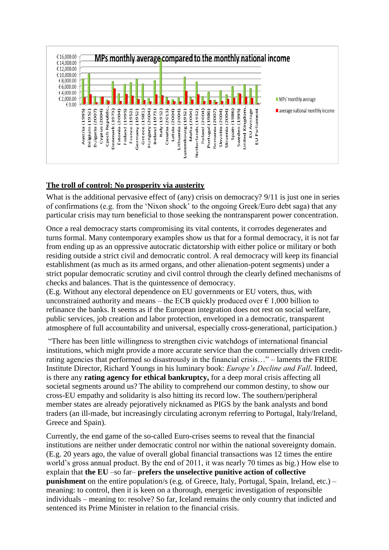

## **The troll of control: No prosperity via austerity**

What is the additional pervasive effect of (any) crisis on democracy? 9/11 is just one in series of confirmations (e.g. from the "Nixon shock" to the ongoing Greek/Euro debt saga) that any particular crisis may turn beneficial to those seeking the nontransparent power concentration.

Once a real democracy starts compromising its vital contents, it corrodes degenerates and turns formal. Many contemporary examples show us that for a formal democracy, it is not far from ending up as an oppressive autocratic dictatorship with either police or military or both residing outside a strict civil and democratic control. A real democracy will keep its financial establishment (as much as its armed organs, and other alienation-potent segments) under a strict popular democratic scrutiny and civil control through the clearly defined mechanisms of checks and balances. That is the quintessence of democracy.

(E.g. Without any electoral dependence on EU governments or EU voters, thus, with unconstrained authority and means – the ECB quickly produced over  $\epsilon$  1,000 billion to refinance the banks. It seems as if the European integration does not rest on social welfare, public services, job creation and labor protection, enveloped in a democratic, transparent atmosphere of full accountability and universal, especially cross-generational, participation.)

"There has been little willingness to strengthen civic watchdogs of international financial institutions, which might provide a more accurate service than the commercially driven creditrating agencies that performed so disastrously in the financial crisis…" – laments the FRIDE Institute Director, Richard Youngs in his luminary book: *Europe's Decline and Fall*. Indeed, is there any **rating agency for ethical bankruptcy,** for a deep moral crisis affecting all societal segments around us? The ability to comprehend our common destiny, to show our cross-EU empathy and solidarity is also hitting its record low. The southern/peripheral member states are already pejoratively nicknamed as PIGS by the bank analysts and bond traders (an ill-made, but increasingly circulating acronym referring to Portugal, Italy/Ireland, Greece and Spain).

Currently, the end game of the so-called Euro-crises seems to reveal that the financial institutions are neither under democratic control nor within the national sovereignty domain. (E.g. 20 years ago, the value of overall global financial transactions was 12 times the entire world"s gross annual product. By the end of 2011, it was nearly 70 times as big.) How else to explain that **the EU** –so far– **prefers the unselective punitive action of collective punishment** on the entire population/s (e.g. of Greece, Italy, Portugal, Spain, Ireland, etc.) – meaning: to control, then it is keen on a thorough, energetic investigation of responsible individuals – meaning to: resolve? So far, Iceland remains the only country that indicted and sentenced its Prime Minister in relation to the financial crisis.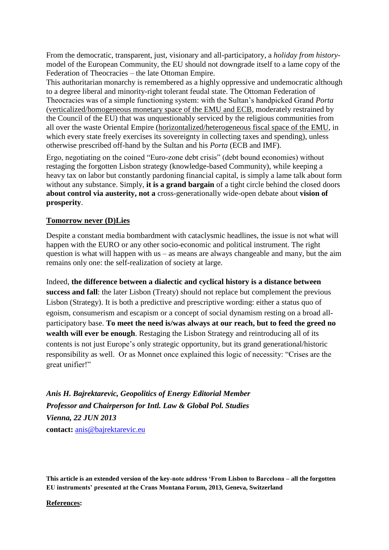From the democratic, transparent, just, visionary and all-participatory, a *holiday from history*model of the European Community, the EU should not downgrade itself to a lame copy of the Federation of Theocracies – the late Ottoman Empire.

This authoritarian monarchy is remembered as a highly oppressive and undemocratic although to a degree liberal and minority-right tolerant feudal state. The Ottoman Federation of Theocracies was of a simple functioning system: with the Sultan"s handpicked Grand *Porta* (verticalized/homogeneous monetary space of the EMU and ECB, moderately restrained by the Council of the EU) that was unquestionably serviced by the religious communities from all over the waste Oriental Empire (horizontalized/heterogeneous fiscal space of the EMU, in which every state freely exercises its sovereignty in collecting taxes and spending), unless otherwise prescribed off-hand by the Sultan and his *Porta* (ECB and IMF).

Ergo, negotiating on the coined "Euro-zone debt crisis" (debt bound economies) without restaging the forgotten Lisbon strategy (knowledge-based Community), while keeping a heavy tax on labor but constantly pardoning financial capital, is simply a lame talk about form without any substance. Simply, **it is a grand bargain** of a tight circle behind the closed doors **about control via austerity, not a** cross-generationally wide-open debate about **vision of prosperity**.

#### **Tomorrow never (D)Lies**

Despite a constant media bombardment with cataclysmic headlines, the issue is not what will happen with the EURO or any other socio-economic and political instrument. The right question is what will happen with us – as means are always changeable and many, but the aim remains only one: the self-realization of society at large.

Indeed, **the difference between a dialectic and cyclical history is a distance between success and fall**: the later Lisbon (Treaty) should not replace but complement the previous Lisbon (Strategy). It is both a predictive and prescriptive wording: either a status quo of egoism, consumerism and escapism or a concept of social dynamism resting on a broad allparticipatory base. **To meet the need is/was always at our reach, but to feed the greed no wealth will ever be enough**. Restaging the Lisbon Strategy and reintroducing all of its contents is not just Europe"s only strategic opportunity, but its grand generational/historic responsibility as well. Or as Monnet once explained this logic of necessity: "Crises are the great unifier!"

*Anis H. Bajrektarevic, Geopolitics of Energy Editorial Member Professor and Chairperson for Intl. Law & Global Pol. Studies Vienna, 22 JUN 2013* **contact:** [anis@bajrektarevic.eu](mailto:anis@corpsdiplomatique.cd)

**This article is an extended version of the key-note address 'From Lisbon to Barcelona – all the forgotten EU instruments' presented at the Crans Montana Forum, 2013, Geneva, Switzerland**

**References:**